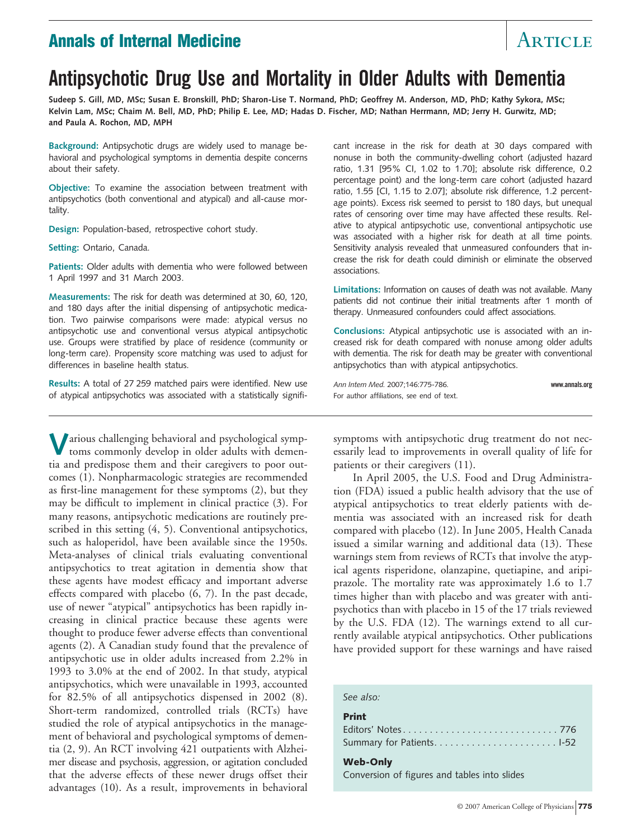# **Annals of Internal Medicine** Annal Article

# **Antipsychotic Drug Use and Mortality in Older Adults with Dementia**

**Sudeep S. Gill, MD, MSc; Susan E. Bronskill, PhD; Sharon-Lise T. Normand, PhD; Geoffrey M. Anderson, MD, PhD; Kathy Sykora, MSc; Kelvin Lam, MSc; Chaim M. Bell, MD, PhD; Philip E. Lee, MD; Hadas D. Fischer, MD; Nathan Herrmann, MD; Jerry H. Gurwitz, MD; and Paula A. Rochon, MD, MPH**

**Background:** Antipsychotic drugs are widely used to manage behavioral and psychological symptoms in dementia despite concerns about their safety.

**Objective:** To examine the association between treatment with antipsychotics (both conventional and atypical) and all-cause mortality.

**Design:** Population-based, retrospective cohort study.

**Setting:** Ontario, Canada.

**Patients:** Older adults with dementia who were followed between 1 April 1997 and 31 March 2003.

**Measurements:** The risk for death was determined at 30, 60, 120, and 180 days after the initial dispensing of antipsychotic medication. Two pairwise comparisons were made: atypical versus no antipsychotic use and conventional versus atypical antipsychotic use. Groups were stratified by place of residence (community or long-term care). Propensity score matching was used to adjust for differences in baseline health status.

**Results:** A total of 27 259 matched pairs were identified. New use of atypical antipsychotics was associated with a statistically signifi-

**V**arious challenging behavioral and psychological symptoms commonly develop in older adults with dementia and predispose them and their caregivers to poor outcomes (1). Nonpharmacologic strategies are recommended as first-line management for these symptoms (2), but they may be difficult to implement in clinical practice (3). For many reasons, antipsychotic medications are routinely prescribed in this setting  $(4, 5)$ . Conventional antipsychotics, such as haloperidol, have been available since the 1950s. Meta-analyses of clinical trials evaluating conventional antipsychotics to treat agitation in dementia show that these agents have modest efficacy and important adverse effects compared with placebo (6, 7). In the past decade, use of newer "atypical" antipsychotics has been rapidly increasing in clinical practice because these agents were thought to produce fewer adverse effects than conventional agents (2). A Canadian study found that the prevalence of antipsychotic use in older adults increased from 2.2% in 1993 to 3.0% at the end of 2002. In that study, atypical antipsychotics, which were unavailable in 1993, accounted for 82.5% of all antipsychotics dispensed in 2002 (8). Short-term randomized, controlled trials (RCTs) have studied the role of atypical antipsychotics in the management of behavioral and psychological symptoms of dementia (2, 9). An RCT involving 421 outpatients with Alzheimer disease and psychosis, aggression, or agitation concluded that the adverse effects of these newer drugs offset their advantages (10). As a result, improvements in behavioral

cant increase in the risk for death at 30 days compared with nonuse in both the community-dwelling cohort (adjusted hazard ratio, 1.31 [95% CI, 1.02 to 1.70]; absolute risk difference, 0.2 percentage point) and the long-term care cohort (adjusted hazard ratio, 1.55 [CI, 1.15 to 2.07]; absolute risk difference, 1.2 percentage points). Excess risk seemed to persist to 180 days, but unequal rates of censoring over time may have affected these results. Relative to atypical antipsychotic use, conventional antipsychotic use was associated with a higher risk for death at all time points. Sensitivity analysis revealed that unmeasured confounders that increase the risk for death could diminish or eliminate the observed associations.

**Limitations:** Information on causes of death was not available. Many patients did not continue their initial treatments after 1 month of therapy. Unmeasured confounders could affect associations.

**Conclusions:** Atypical antipsychotic use is associated with an increased risk for death compared with nonuse among older adults with dementia. The risk for death may be greater with conventional antipsychotics than with atypical antipsychotics.

*Ann Intern Med.* 2007;146:775-786. **www.annals.org** For author affiliations, see end of text.

symptoms with antipsychotic drug treatment do not necessarily lead to improvements in overall quality of life for patients or their caregivers (11).

In April 2005, the U.S. Food and Drug Administration (FDA) issued a public health advisory that the use of atypical antipsychotics to treat elderly patients with dementia was associated with an increased risk for death compared with placebo (12). In June 2005, Health Canada issued a similar warning and additional data (13). These warnings stem from reviews of RCTs that involve the atypical agents risperidone, olanzapine, quetiapine, and aripiprazole. The mortality rate was approximately 1.6 to 1.7 times higher than with placebo and was greater with antipsychotics than with placebo in 15 of the 17 trials reviewed by the U.S. FDA (12). The warnings extend to all currently available atypical antipsychotics. Other publications have provided support for these warnings and have raised

#### *See also:*

#### **Print**

### **Web-Only**

Conversion of figures and tables into slides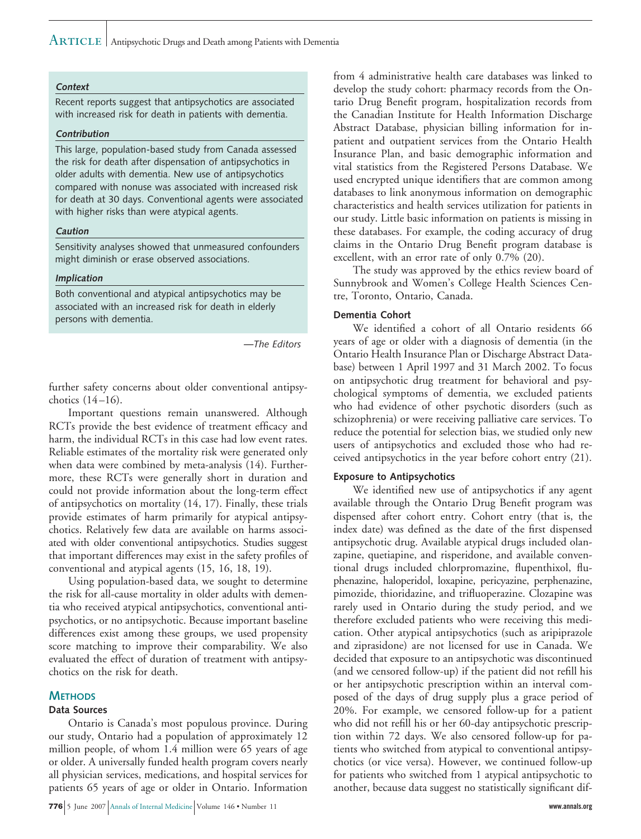### ARTICLE | Antipsychotic Drugs and Death among Patients with Dementia

### **Context**

Recent reports suggest that antipsychotics are associated with increased risk for death in patients with dementia.

### **Contribution**

This large, population-based study from Canada assessed the risk for death after dispensation of antipsychotics in older adults with dementia. New use of antipsychotics compared with nonuse was associated with increased risk for death at 30 days. Conventional agents were associated with higher risks than were atypical agents.

#### **Caution**

Sensitivity analyses showed that unmeasured confounders might diminish or erase observed associations.

### **Implication**

Both conventional and atypical antipsychotics may be associated with an increased risk for death in elderly persons with dementia.

*—The Editors*

further safety concerns about older conventional antipsychotics (14 –16).

Important questions remain unanswered. Although RCTs provide the best evidence of treatment efficacy and harm, the individual RCTs in this case had low event rates. Reliable estimates of the mortality risk were generated only when data were combined by meta-analysis (14). Furthermore, these RCTs were generally short in duration and could not provide information about the long-term effect of antipsychotics on mortality (14, 17). Finally, these trials provide estimates of harm primarily for atypical antipsychotics. Relatively few data are available on harms associated with older conventional antipsychotics. Studies suggest that important differences may exist in the safety profiles of conventional and atypical agents (15, 16, 18, 19).

Using population-based data, we sought to determine the risk for all-cause mortality in older adults with dementia who received atypical antipsychotics, conventional antipsychotics, or no antipsychotic. Because important baseline differences exist among these groups, we used propensity score matching to improve their comparability. We also evaluated the effect of duration of treatment with antipsychotics on the risk for death.

### **METHODS**

### **Data Sources**

Ontario is Canada's most populous province. During our study, Ontario had a population of approximately 12 million people, of whom 1.4 million were 65 years of age or older. A universally funded health program covers nearly all physician services, medications, and hospital services for patients 65 years of age or older in Ontario. Information

from 4 administrative health care databases was linked to develop the study cohort: pharmacy records from the Ontario Drug Benefit program, hospitalization records from the Canadian Institute for Health Information Discharge Abstract Database, physician billing information for inpatient and outpatient services from the Ontario Health Insurance Plan, and basic demographic information and vital statistics from the Registered Persons Database. We used encrypted unique identifiers that are common among databases to link anonymous information on demographic characteristics and health services utilization for patients in our study. Little basic information on patients is missing in these databases. For example, the coding accuracy of drug claims in the Ontario Drug Benefit program database is excellent, with an error rate of only 0.7% (20).

The study was approved by the ethics review board of Sunnybrook and Women's College Health Sciences Centre, Toronto, Ontario, Canada.

### **Dementia Cohort**

We identified a cohort of all Ontario residents 66 years of age or older with a diagnosis of dementia (in the Ontario Health Insurance Plan or Discharge Abstract Database) between 1 April 1997 and 31 March 2002. To focus on antipsychotic drug treatment for behavioral and psychological symptoms of dementia, we excluded patients who had evidence of other psychotic disorders (such as schizophrenia) or were receiving palliative care services. To reduce the potential for selection bias, we studied only new users of antipsychotics and excluded those who had received antipsychotics in the year before cohort entry (21).

### **Exposure to Antipsychotics**

We identified new use of antipsychotics if any agent available through the Ontario Drug Benefit program was dispensed after cohort entry. Cohort entry (that is, the index date) was defined as the date of the first dispensed antipsychotic drug. Available atypical drugs included olanzapine, quetiapine, and risperidone, and available conventional drugs included chlorpromazine, flupenthixol, fluphenazine, haloperidol, loxapine, pericyazine, perphenazine, pimozide, thioridazine, and trifluoperazine. Clozapine was rarely used in Ontario during the study period, and we therefore excluded patients who were receiving this medication. Other atypical antipsychotics (such as aripiprazole and ziprasidone) are not licensed for use in Canada. We decided that exposure to an antipsychotic was discontinued (and we censored follow-up) if the patient did not refill his or her antipsychotic prescription within an interval composed of the days of drug supply plus a grace period of 20%. For example, we censored follow-up for a patient who did not refill his or her 60-day antipsychotic prescription within 72 days. We also censored follow-up for patients who switched from atypical to conventional antipsychotics (or vice versa). However, we continued follow-up for patients who switched from 1 atypical antipsychotic to another, because data suggest no statistically significant dif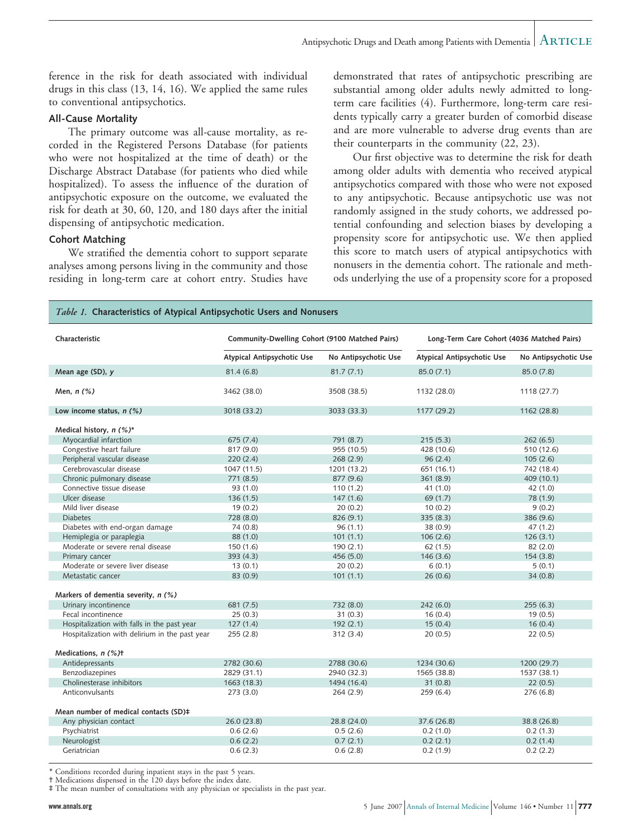ference in the risk for death associated with individual drugs in this class (13, 14, 16). We applied the same rules to conventional antipsychotics.

### **All-Cause Mortality**

The primary outcome was all-cause mortality, as recorded in the Registered Persons Database (for patients who were not hospitalized at the time of death) or the Discharge Abstract Database (for patients who died while hospitalized). To assess the influence of the duration of antipsychotic exposure on the outcome, we evaluated the risk for death at 30, 60, 120, and 180 days after the initial dispensing of antipsychotic medication.

### **Cohort Matching**

We stratified the dementia cohort to support separate analyses among persons living in the community and those residing in long-term care at cohort entry. Studies have demonstrated that rates of antipsychotic prescribing are substantial among older adults newly admitted to longterm care facilities (4). Furthermore, long-term care residents typically carry a greater burden of comorbid disease and are more vulnerable to adverse drug events than are their counterparts in the community (22, 23).

Our first objective was to determine the risk for death among older adults with dementia who received atypical antipsychotics compared with those who were not exposed to any antipsychotic. Because antipsychotic use was not randomly assigned in the study cohorts, we addressed potential confounding and selection biases by developing a propensity score for antipsychotic use. We then applied this score to match users of atypical antipsychotics with nonusers in the dementia cohort. The rationale and methods underlying the use of a propensity score for a proposed

#### *Table 1.* **Characteristics of Atypical Antipsychotic Users and Nonusers**

| Characteristic                                 | Community-Dwelling Cohort (9100 Matched Pairs) |                      | Long-Term Care Cohort (4036 Matched Pairs) |                      |
|------------------------------------------------|------------------------------------------------|----------------------|--------------------------------------------|----------------------|
|                                                | Atypical Antipsychotic Use                     | No Antipsychotic Use | Atypical Antipsychotic Use                 | No Antipsychotic Use |
| Mean age (SD), y                               | 81.4(6.8)                                      | 81.7(7.1)            | 85.0(7.1)                                  | 85.0 (7.8)           |
| Men, $n$ $(\%)$                                | 3462 (38.0)                                    | 3508 (38.5)          | 1132 (28.0)                                | 1118 (27.7)          |
| Low income status, $n$ (%)                     | 3018 (33.2)                                    | 3033 (33.3)          | 1177 (29.2)                                | 1162 (28.8)          |
| Medical history, $n$ (%)*                      |                                                |                      |                                            |                      |
| Myocardial infarction                          | 675(7.4)                                       | 791 (8.7)            | 215(5.3)                                   | 262(6.5)             |
| Congestive heart failure                       | 817 (9.0)                                      | 955 (10.5)           | 428 (10.6)                                 | 510 (12.6)           |
| Peripheral vascular disease                    | 220(2.4)                                       | 268(2.9)             | 96(2.4)                                    | 105(2.6)             |
| Cerebrovascular disease                        | 1047 (11.5)                                    | 1201 (13.2)          | 651 (16.1)                                 | 742 (18.4)           |
| Chronic pulmonary disease                      | 771 (8.5)                                      | 877 (9.6)            | 361 (8.9)                                  | 409 (10.1)           |
| Connective tissue disease                      | 93 (1.0)                                       | 110(1.2)             | 41(1.0)                                    | 42 (1.0)             |
| Ulcer disease                                  | 136(1.5)                                       | 147(1.6)             | 69(1.7)                                    | 78 (1.9)             |
| Mild liver disease                             | 19(0.2)                                        | 20(0.2)              | 10(0.2)                                    | 9(0.2)               |
| <b>Diabetes</b>                                | 728 (8.0)                                      | 826 (9.1)            | 335 (8.3)                                  | 386 (9.6)            |
| Diabetes with end-organ damage                 | 74 (0.8)                                       | 96(1.1)              | 38 (0.9)                                   | 47 (1.2)             |
| Hemiplegia or paraplegia                       | 88 (1.0)                                       | 101(1.1)             | 106(2.6)                                   | 126(3.1)             |
| Moderate or severe renal disease               | 150(1.6)                                       | 190(2.1)             | 62(1.5)                                    | 82 (2.0)             |
| Primary cancer                                 | 393 (4.3)                                      | 456(5.0)             | 146(3.6)                                   | 154(3.8)             |
| Moderate or severe liver disease               | 13(0.1)                                        | 20(0.2)              | 6(0.1)                                     | 5(0.1)               |
| Metastatic cancer                              | 83 (0.9)                                       | 101(1.1)             | 26(0.6)                                    | 34(0.8)              |
| Markers of dementia severity, n (%)            |                                                |                      |                                            |                      |
| Urinary incontinence                           | 681 (7.5)                                      | 732 (8.0)            | 242(6.0)                                   | 255(6.3)             |
| Fecal incontinence                             | 25(0.3)                                        | 31(0.3)              | 16(0.4)                                    | 19(0.5)              |
| Hospitalization with falls in the past year    | 127(1.4)                                       | 192(2.1)             | 15(0.4)                                    | 16(0.4)              |
| Hospitalization with delirium in the past year | 255(2.8)                                       | 312(3.4)             | 20(0.5)                                    | 22(0.5)              |
|                                                |                                                |                      |                                            |                      |
| Medications, n (%)+                            |                                                |                      |                                            |                      |
| Antidepressants                                | 2782 (30.6)                                    | 2788 (30.6)          | 1234 (30.6)                                | 1200 (29.7)          |
| Benzodiazepines                                | 2829 (31.1)                                    | 2940 (32.3)          | 1565 (38.8)                                | 1537 (38.1)          |
| Cholinesterase inhibitors                      | 1663 (18.3)                                    | 1494 (16.4)          | 31(0.8)                                    | 22(0.5)              |
| Anticonvulsants                                | 273(3.0)                                       | 264(2.9)             | 259(6.4)                                   | 276 (6.8)            |
| Mean number of medical contacts (SD)#          |                                                |                      |                                            |                      |
| Any physician contact                          | 26.0(23.8)                                     | 28.8 (24.0)          | 37.6 (26.8)                                | 38.8 (26.8)          |
| Psychiatrist                                   | 0.6(2.6)                                       | 0.5(2.6)             | 0.2(1.0)                                   | 0.2(1.3)             |
| Neurologist                                    | 0.6(2.2)                                       | 0.7(2.1)             | 0.2(2.1)                                   | 0.2(1.4)             |
| Geriatrician                                   | 0.6(2.3)                                       | 0.6(2.8)             | 0.2(1.9)                                   | 0.2(2.2)             |

\* Conditions recorded during inpatient stays in the past 5 years.

† Medications dispensed in the 120 days before the index date.

‡ The mean number of consultations with any physician or specialists in the past year.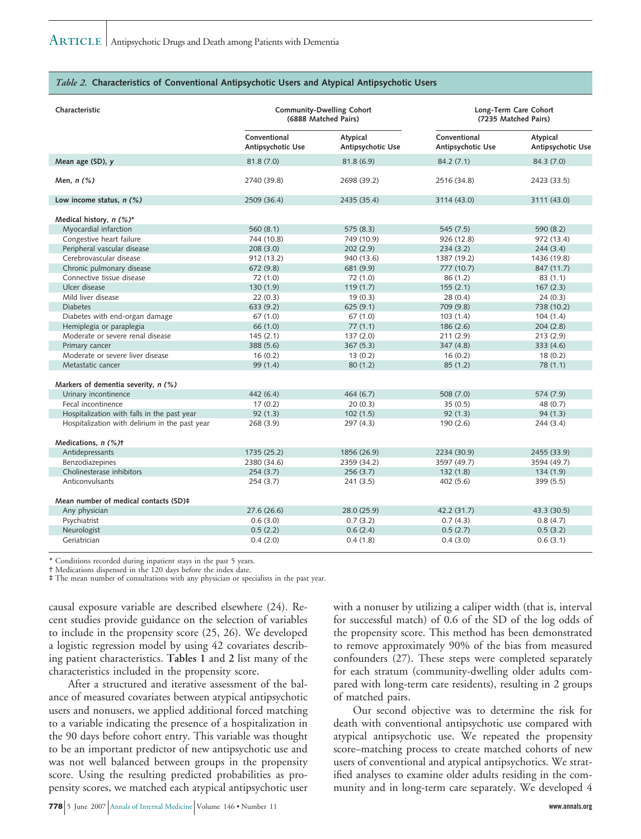## ARTICLE | Antipsychotic Drugs and Death among Patients with Dementia

### *Table 2.* **Characteristics of Conventional Antipsychotic Users and Atypical Antipsychotic Users**

| Characteristic                                    |                                   | <b>Community-Dwelling Cohort</b><br>(6888 Matched Pairs) | Long-Term Care Cohort<br>(7235 Matched Pairs) |                               |  |
|---------------------------------------------------|-----------------------------------|----------------------------------------------------------|-----------------------------------------------|-------------------------------|--|
|                                                   | Conventional<br>Antipsychotic Use | Atypical<br>Antipsychotic Use                            | Conventional<br>Antipsychotic Use             | Atypical<br>Antipsychotic Use |  |
| Mean age (SD), y                                  | 81.8(7.0)                         | 81.8(6.9)                                                | 84.2 (7.1)                                    | 84.3 (7.0)                    |  |
| Men, $n$ $(\%)$                                   | 2740 (39.8)                       | 2698 (39.2)                                              | 2516 (34.8)                                   | 2423 (33.5)                   |  |
| Low income status, $n$ (%)                        | 2509 (36.4)                       | 2435 (35.4)                                              | 3114 (43.0)                                   | 3111 (43.0)                   |  |
|                                                   |                                   |                                                          |                                               |                               |  |
| Medical history, $n$ (%)*                         |                                   |                                                          |                                               |                               |  |
| Myocardial infarction<br>Congestive heart failure | 560(8.1)                          | 575(8.3)<br>749 (10.9)                                   | 545(7.5)                                      | 590 (8.2)                     |  |
| Peripheral vascular disease                       | 744 (10.8)                        | 202(2.9)                                                 | 926 (12.8)                                    | 972 (13.4)                    |  |
| Cerebrovascular disease                           | 208(3.0)<br>912 (13.2)            | 940 (13.6)                                               | 234(3.2)<br>1387 (19.2)                       | 244 (3.4)<br>1436 (19.8)      |  |
| Chronic pulmonary disease                         | 672(9.8)                          | 681 (9.9)                                                | 777 (10.7)                                    | 847 (11.7)                    |  |
| Connective tissue disease                         | 72 (1.0)                          | 72 (1.0)                                                 | 86(1.2)                                       | 83(1.1)                       |  |
| Ulcer disease                                     | 130 (1.9)                         | 119(1.7)                                                 | 155(2.1)                                      | 167(2.3)                      |  |
| Mild liver disease                                | 22(0.3)                           | 19(0.3)                                                  | 28(0.4)                                       | 24(0.3)                       |  |
| <b>Diabetes</b>                                   | 633(9.2)                          | 625(9.1)                                                 | 709 (9.8)                                     | 738 (10.2)                    |  |
| Diabetes with end-organ damage                    | 67(1.0)                           | 67(1.0)                                                  | 103(1.4)                                      | 104(1.4)                      |  |
| Hemiplegia or paraplegia                          | 66 (1.0)                          | 77(1.1)                                                  | 186(2.6)                                      | 204(2.8)                      |  |
| Moderate or severe renal disease                  | 145(2.1)                          | 137(2.0)                                                 | 211(2.9)                                      | 213(2.9)                      |  |
| Primary cancer                                    | 388 (5.6)                         | 367(5.3)                                                 | 347(4.8)                                      | 333 (4.6)                     |  |
| Moderate or severe liver disease                  | 16(0.2)                           | 13(0.2)                                                  | 16(0.2)                                       | 18(0.2)                       |  |
| Metastatic cancer                                 | 99 (1.4)                          | 80(1.2)                                                  | 85(1.2)                                       | 78(1.1)                       |  |
|                                                   |                                   |                                                          |                                               |                               |  |
| Markers of dementia severity, n (%)               |                                   |                                                          |                                               |                               |  |
| Urinary incontinence                              | 442 (6.4)                         | 464(6.7)                                                 | 508 (7.0)                                     | 574 (7.9)                     |  |
| Fecal incontinence                                | 17(0.2)                           | 20(0.3)                                                  | 35(0.5)                                       | 48 (0.7)                      |  |
| Hospitalization with falls in the past year       | 92(1.3)                           | 102(1.5)                                                 | 92(1.3)                                       | 94(1.3)                       |  |
| Hospitalization with delirium in the past year    | 268(3.9)                          | 297 (4.3)                                                | 190(2.6)                                      | 244 (3.4)                     |  |
|                                                   |                                   |                                                          |                                               |                               |  |
| Medications. $n$ (%) <sup>+</sup>                 |                                   |                                                          |                                               |                               |  |
| Antidepressants                                   | 1735 (25.2)                       | 1856 (26.9)                                              | 2234 (30.9)                                   | 2455 (33.9)                   |  |
| Benzodiazepines                                   | 2380 (34.6)                       | 2359 (34.2)                                              | 3597 (49.7)                                   | 3594 (49.7)                   |  |
| Cholinesterase inhibitors                         | 254(3.7)                          | 256(3.7)                                                 | 132(1.8)                                      | 134(1.9)                      |  |
| Anticonvulsants                                   | 254(3.7)                          | 241 (3.5)                                                | 402 (5.6)                                     | 399 (5.5)                     |  |
| Mean number of medical contacts (SD)#             |                                   |                                                          |                                               |                               |  |
| Any physician                                     | 27.6(26.6)                        | 28.0 (25.9)                                              | 42.2(31.7)                                    | 43.3 (30.5)                   |  |
| Psychiatrist                                      | 0.6(3.0)                          | 0.7(3.2)                                                 | 0.7(4.3)                                      | 0.8(4.7)                      |  |
| Neurologist                                       | 0.5(2.2)                          | 0.6(2.4)                                                 | 0.5(2.7)                                      | 0.5(3.2)                      |  |
| Geriatrician                                      | 0.4(2.0)                          | 0.4(1.8)                                                 | 0.4(3.0)                                      | 0.6(3.1)                      |  |
|                                                   |                                   |                                                          |                                               |                               |  |

\* Conditions recorded during inpatient stays in the past 5 years.

† Medications dispensed in the 120 days before the index date.

‡ The mean number of consultations with any physician or specialists in the past year.

causal exposure variable are described elsewhere (24). Recent studies provide guidance on the selection of variables to include in the propensity score (25, 26). We developed a logistic regression model by using 42 covariates describing patient characteristics. **Tables 1** and **2** list many of the characteristics included in the propensity score.

After a structured and iterative assessment of the balance of measured covariates between atypical antipsychotic users and nonusers, we applied additional forced matching to a variable indicating the presence of a hospitalization in the 90 days before cohort entry. This variable was thought to be an important predictor of new antipsychotic use and was not well balanced between groups in the propensity score. Using the resulting predicted probabilities as propensity scores, we matched each atypical antipsychotic user

**778** 5 June 2007 Annals of Internal Medicine Volume 146 • Number 11 **www.annals.org**

with a nonuser by utilizing a caliper width (that is, interval for successful match) of 0.6 of the SD of the log odds of the propensity score. This method has been demonstrated to remove approximately 90% of the bias from measured confounders (27). These steps were completed separately for each stratum (community-dwelling older adults compared with long-term care residents), resulting in 2 groups of matched pairs.

Our second objective was to determine the risk for death with conventional antipsychotic use compared with atypical antipsychotic use. We repeated the propensity score–matching process to create matched cohorts of new users of conventional and atypical antipsychotics. We stratified analyses to examine older adults residing in the community and in long-term care separately. We developed 4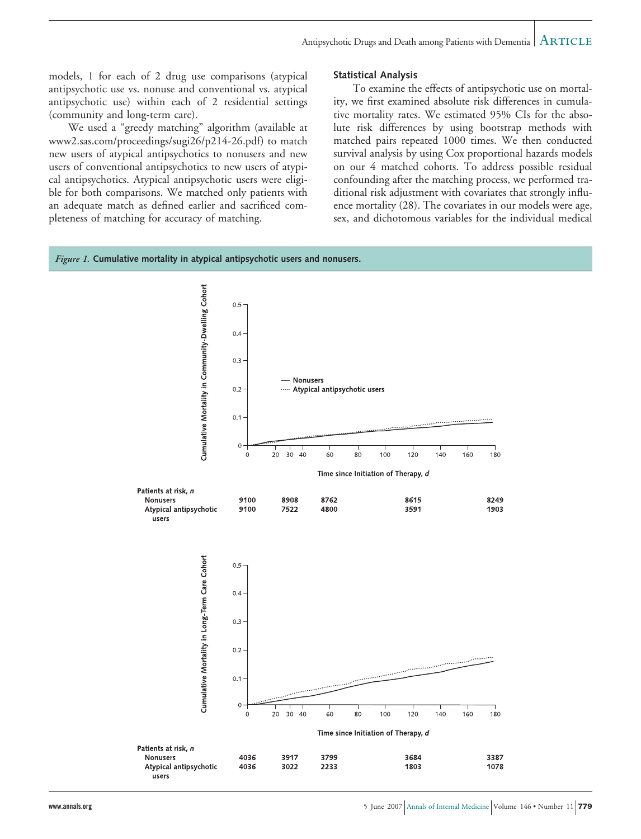models, 1 for each of 2 drug use comparisons (atypical antipsychotic use vs. nonuse and conventional vs. atypical antipsychotic use) within each of 2 residential settings (community and long-term care).

We used a "greedy matching" algorithm (available at www2.sas.com/proceedings/sugi26/p214-26.pdf) to match new users of atypical antipsychotics to nonusers and new users of conventional antipsychotics to new users of atypical antipsychotics. Atypical antipsychotic users were eligible for both comparisons. We matched only patients with an adequate match as defined earlier and sacrificed completeness of matching for accuracy of matching.

### **Statistical Analysis**

To examine the effects of antipsychotic use on mortality, we first examined absolute risk differences in cumulative mortality rates. We estimated 95% CIs for the absolute risk differences by using bootstrap methods with matched pairs repeated 1000 times. We then conducted survival analysis by using Cox proportional hazards models on our 4 matched cohorts. To address possible residual confounding after the matching process, we performed traditional risk adjustment with covariates that strongly influence mortality (28). The covariates in our models were age, sex, and dichotomous variables for the individual medical

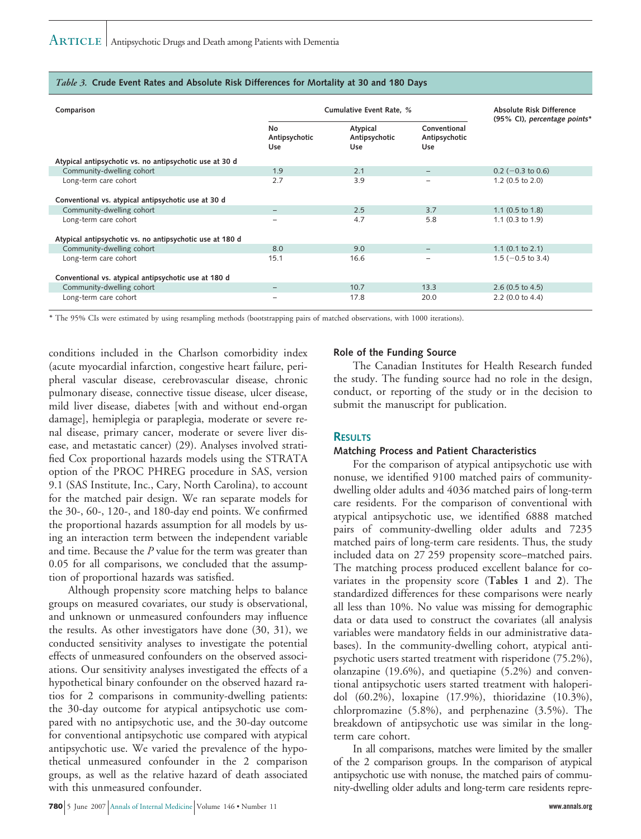| Comparison                                               | Cumulative Event Rate. %          |                                  |                                      | <b>Absolute Risk Difference</b><br>(95% CI), percentage points* |
|----------------------------------------------------------|-----------------------------------|----------------------------------|--------------------------------------|-----------------------------------------------------------------|
|                                                          | No<br>Antipsychotic<br><b>Use</b> | Atypical<br>Antipsychotic<br>Use | Conventional<br>Antipsychotic<br>Use |                                                                 |
| Atypical antipsychotic vs. no antipsychotic use at 30 d  |                                   |                                  |                                      |                                                                 |
| Community-dwelling cohort                                | 1.9                               | 2.1                              |                                      | $0.2$ (-0.3 to 0.6)                                             |
| Long-term care cohort                                    | 2.7                               | 3.9                              |                                      | 1.2 (0.5 to $2.0$ )                                             |
| Conventional vs. atypical antipsychotic use at 30 d      |                                   |                                  |                                      |                                                                 |
| Community-dwelling cohort                                |                                   | 2.5                              | 3.7                                  | $1.1$ (0.5 to 1.8)                                              |
| Long-term care cohort                                    |                                   | 4.7                              | 5.8                                  | 1.1(0.3 to 1.9)                                                 |
| Atypical antipsychotic vs. no antipsychotic use at 180 d |                                   |                                  |                                      |                                                                 |
| Community-dwelling cohort                                | 8.0                               | 9.0                              | -                                    | $1.1$ (0.1 to 2.1)                                              |
| Long-term care cohort                                    | 15.1                              | 16.6                             | -                                    | $1.5$ (-0.5 to 3.4)                                             |
| Conventional vs. atypical antipsychotic use at 180 d     |                                   |                                  |                                      |                                                                 |
| Community-dwelling cohort                                | $\overline{\phantom{0}}$          | 10.7                             | 13.3                                 | $2.6(0.5 \text{ to } 4.5)$                                      |
| Long-term care cohort                                    |                                   | 17.8                             | 20.0                                 | $2.2$ (0.0 to 4.4)                                              |

### *Table 3.* **Crude Event Rates and Absolute Risk Differences for Mortality at 30 and 180 Days**

\* The 95% CIs were estimated by using resampling methods (bootstrapping pairs of matched observations, with 1000 iterations).

conditions included in the Charlson comorbidity index (acute myocardial infarction, congestive heart failure, peripheral vascular disease, cerebrovascular disease, chronic pulmonary disease, connective tissue disease, ulcer disease, mild liver disease, diabetes [with and without end-organ damage], hemiplegia or paraplegia, moderate or severe renal disease, primary cancer, moderate or severe liver disease, and metastatic cancer) (29). Analyses involved stratified Cox proportional hazards models using the STRATA option of the PROC PHREG procedure in SAS, version 9.1 (SAS Institute, Inc., Cary, North Carolina), to account for the matched pair design. We ran separate models for the 30-, 60-, 120-, and 180-day end points. We confirmed the proportional hazards assumption for all models by using an interaction term between the independent variable and time. Because the *P* value for the term was greater than 0.05 for all comparisons, we concluded that the assumption of proportional hazards was satisfied.

Although propensity score matching helps to balance groups on measured covariates, our study is observational, and unknown or unmeasured confounders may influence the results. As other investigators have done (30, 31), we conducted sensitivity analyses to investigate the potential effects of unmeasured confounders on the observed associations. Our sensitivity analyses investigated the effects of a hypothetical binary confounder on the observed hazard ratios for 2 comparisons in community-dwelling patients: the 30-day outcome for atypical antipsychotic use compared with no antipsychotic use, and the 30-day outcome for conventional antipsychotic use compared with atypical antipsychotic use. We varied the prevalence of the hypothetical unmeasured confounder in the 2 comparison groups, as well as the relative hazard of death associated with this unmeasured confounder.

### **Role of the Funding Source**

The Canadian Institutes for Health Research funded the study. The funding source had no role in the design, conduct, or reporting of the study or in the decision to submit the manuscript for publication.

### **RESULTS**

### **Matching Process and Patient Characteristics**

For the comparison of atypical antipsychotic use with nonuse, we identified 9100 matched pairs of communitydwelling older adults and 4036 matched pairs of long-term care residents. For the comparison of conventional with atypical antipsychotic use, we identified 6888 matched pairs of community-dwelling older adults and 7235 matched pairs of long-term care residents. Thus, the study included data on 27 259 propensity score–matched pairs. The matching process produced excellent balance for covariates in the propensity score (**Tables 1** and **2**). The standardized differences for these comparisons were nearly all less than 10%. No value was missing for demographic data or data used to construct the covariates (all analysis variables were mandatory fields in our administrative databases). In the community-dwelling cohort, atypical antipsychotic users started treatment with risperidone (75.2%), olanzapine (19.6%), and quetiapine (5.2%) and conventional antipsychotic users started treatment with haloperidol (60.2%), loxapine (17.9%), thioridazine (10.3%), chlorpromazine (5.8%), and perphenazine (3.5%). The breakdown of antipsychotic use was similar in the longterm care cohort.

In all comparisons, matches were limited by the smaller of the 2 comparison groups. In the comparison of atypical antipsychotic use with nonuse, the matched pairs of community-dwelling older adults and long-term care residents repre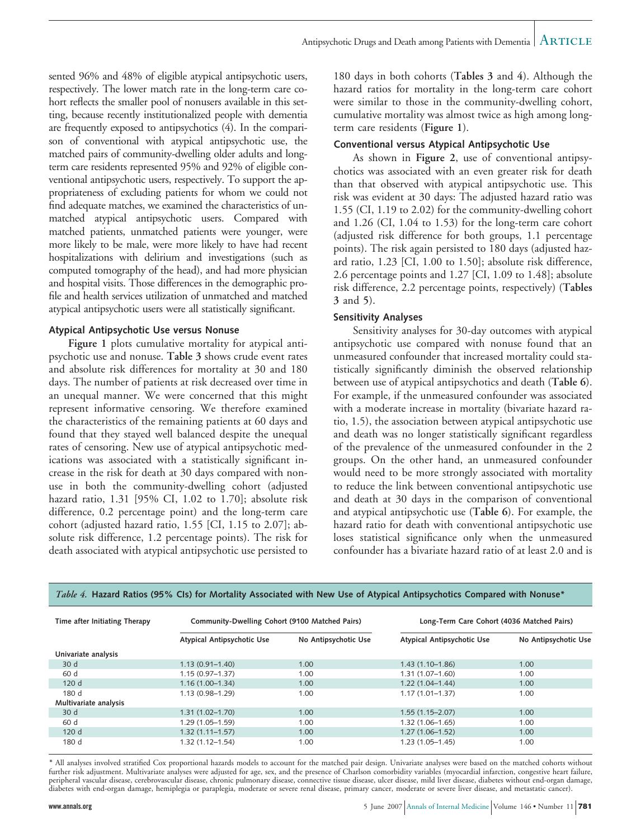sented 96% and 48% of eligible atypical antipsychotic users, respectively. The lower match rate in the long-term care cohort reflects the smaller pool of nonusers available in this setting, because recently institutionalized people with dementia are frequently exposed to antipsychotics (4). In the comparison of conventional with atypical antipsychotic use, the matched pairs of community-dwelling older adults and longterm care residents represented 95% and 92% of eligible conventional antipsychotic users, respectively. To support the appropriateness of excluding patients for whom we could not find adequate matches, we examined the characteristics of unmatched atypical antipsychotic users. Compared with matched patients, unmatched patients were younger, were more likely to be male, were more likely to have had recent hospitalizations with delirium and investigations (such as computed tomography of the head), and had more physician and hospital visits. Those differences in the demographic profile and health services utilization of unmatched and matched atypical antipsychotic users were all statistically significant.

### **Atypical Antipsychotic Use versus Nonuse**

**Figure 1** plots cumulative mortality for atypical antipsychotic use and nonuse. **Table 3** shows crude event rates and absolute risk differences for mortality at 30 and 180 days. The number of patients at risk decreased over time in an unequal manner. We were concerned that this might represent informative censoring. We therefore examined the characteristics of the remaining patients at 60 days and found that they stayed well balanced despite the unequal rates of censoring. New use of atypical antipsychotic medications was associated with a statistically significant increase in the risk for death at 30 days compared with nonuse in both the community-dwelling cohort (adjusted hazard ratio, 1.31 [95% CI, 1.02 to 1.70]; absolute risk difference, 0.2 percentage point) and the long-term care cohort (adjusted hazard ratio, 1.55 [CI, 1.15 to 2.07]; absolute risk difference, 1.2 percentage points). The risk for death associated with atypical antipsychotic use persisted to

180 days in both cohorts (**Tables 3** and **4**). Although the hazard ratios for mortality in the long-term care cohort were similar to those in the community-dwelling cohort, cumulative mortality was almost twice as high among longterm care residents (**Figure 1**).

### **Conventional versus Atypical Antipsychotic Use**

As shown in **Figure 2**, use of conventional antipsychotics was associated with an even greater risk for death than that observed with atypical antipsychotic use. This risk was evident at 30 days: The adjusted hazard ratio was 1.55 (CI, 1.19 to 2.02) for the community-dwelling cohort and 1.26 (CI, 1.04 to 1.53) for the long-term care cohort (adjusted risk difference for both groups, 1.1 percentage points). The risk again persisted to 180 days (adjusted hazard ratio, 1.23 [CI, 1.00 to 1.50]; absolute risk difference, 2.6 percentage points and 1.27 [CI, 1.09 to 1.48]; absolute risk difference, 2.2 percentage points, respectively) (**Tables 3** and **5**).

### **Sensitivity Analyses**

Sensitivity analyses for 30-day outcomes with atypical antipsychotic use compared with nonuse found that an unmeasured confounder that increased mortality could statistically significantly diminish the observed relationship between use of atypical antipsychotics and death (**Table 6**). For example, if the unmeasured confounder was associated with a moderate increase in mortality (bivariate hazard ratio, 1.5), the association between atypical antipsychotic use and death was no longer statistically significant regardless of the prevalence of the unmeasured confounder in the 2 groups. On the other hand, an unmeasured confounder would need to be more strongly associated with mortality to reduce the link between conventional antipsychotic use and death at 30 days in the comparison of conventional and atypical antipsychotic use (**Table 6**). For example, the hazard ratio for death with conventional antipsychotic use loses statistical significance only when the unmeasured confounder has a bivariate hazard ratio of at least 2.0 and is

| Time after Initiating Therapy | Community-Dwelling Cohort (9100 Matched Pairs) |                      | Long-Term Care Cohort (4036 Matched Pairs) |                      |
|-------------------------------|------------------------------------------------|----------------------|--------------------------------------------|----------------------|
|                               | Atypical Antipsychotic Use                     | No Antipsychotic Use | Atypical Antipsychotic Use                 | No Antipsychotic Use |
| Univariate analysis           |                                                |                      |                                            |                      |
| 30 <sub>d</sub>               | $1.13(0.91 - 1.40)$                            | 1.00                 | $1.43(1.10-1.86)$                          | 1.00                 |
| 60 d                          | $1.15(0.97 - 1.37)$                            | 1.00                 | $1.31(1.07 - 1.60)$                        | 1.00                 |
| 120d                          | $1.16(1.00 - 1.34)$                            | 1.00                 | $1.22(1.04 - 1.44)$                        | 1.00                 |
| 180d                          | 1.13 (0.98-1.29)                               | 1.00                 | $1.17(1.01 - 1.37)$                        | 1.00                 |
| Multivariate analysis         |                                                |                      |                                            |                      |
| 30d                           | $1.31(1.02 - 1.70)$                            | 1.00                 | $1.55(1.15 - 2.07)$                        | 1.00                 |
| 60 d                          | $1.29(1.05 - 1.59)$                            | 1.00                 | $1.32(1.06 - 1.65)$                        | 1.00                 |
| 120d                          | $1.32(1.11 - 1.57)$                            | 1.00                 | $1.27(1.06 - 1.52)$                        | 1.00                 |
| 180 d                         | $1.32(1.12 - 1.54)$                            | 1.00                 | $1.23(1.05 - 1.45)$                        | 1.00                 |

*Table 4.* **Hazard Ratios (95% CIs) for Mortality Associated with New Use of Atypical Antipsychotics Compared with Nonuse\***

\* All analyses involved stratified Cox proportional hazards models to account for the matched pair design. Univariate analyses were based on the matched cohorts without further risk adjustment. Multivariate analyses were adjusted for age, sex, and the presence of Charlson comorbidity variables (myocardial infarction, congestive heart failure, peripheral vascular disease, cerebrovascular disease, chronic pulmonary disease, connective tissue disease, ulcer disease, mild liver disease, diabetes without end-organ damage, diabetes with end-organ damage, hemiplegia or paraplegia, moderate or severe renal disease, primary cancer, moderate or severe liver disease, and metastatic cancer).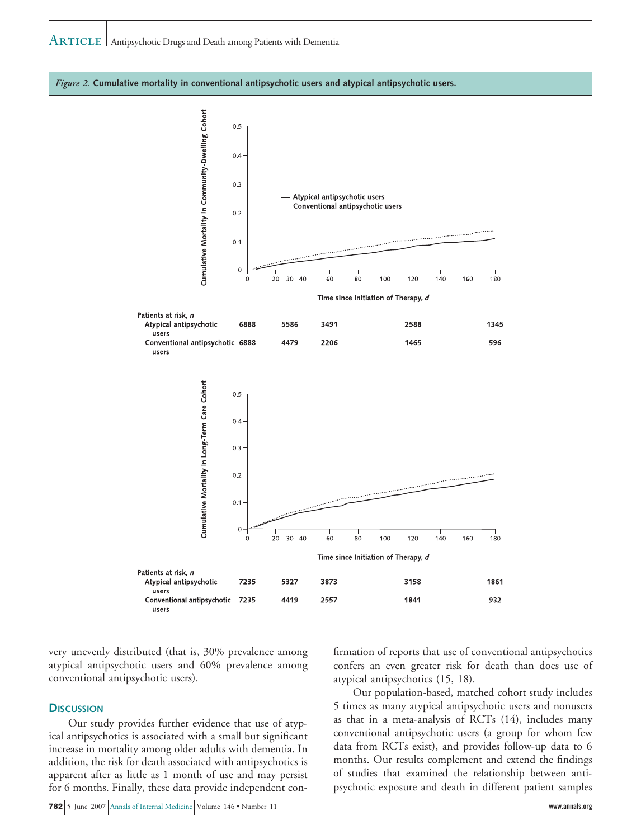### $\rm ARTICLE$  | Antipsychotic Drugs and Death among Patients with Dementia

*Figure 2.* **Cumulative mortality in conventional antipsychotic users and atypical antipsychotic users.**



very unevenly distributed (that is, 30% prevalence among atypical antipsychotic users and 60% prevalence among conventional antipsychotic users).

### **DISCUSSION**

Our study provides further evidence that use of atypical antipsychotics is associated with a small but significant increase in mortality among older adults with dementia. In addition, the risk for death associated with antipsychotics is apparent after as little as 1 month of use and may persist for 6 months. Finally, these data provide independent confirmation of reports that use of conventional antipsychotics confers an even greater risk for death than does use of atypical antipsychotics (15, 18).

Our population-based, matched cohort study includes 5 times as many atypical antipsychotic users and nonusers as that in a meta-analysis of RCTs (14), includes many conventional antipsychotic users (a group for whom few data from RCTs exist), and provides follow-up data to 6 months. Our results complement and extend the findings of studies that examined the relationship between antipsychotic exposure and death in different patient samples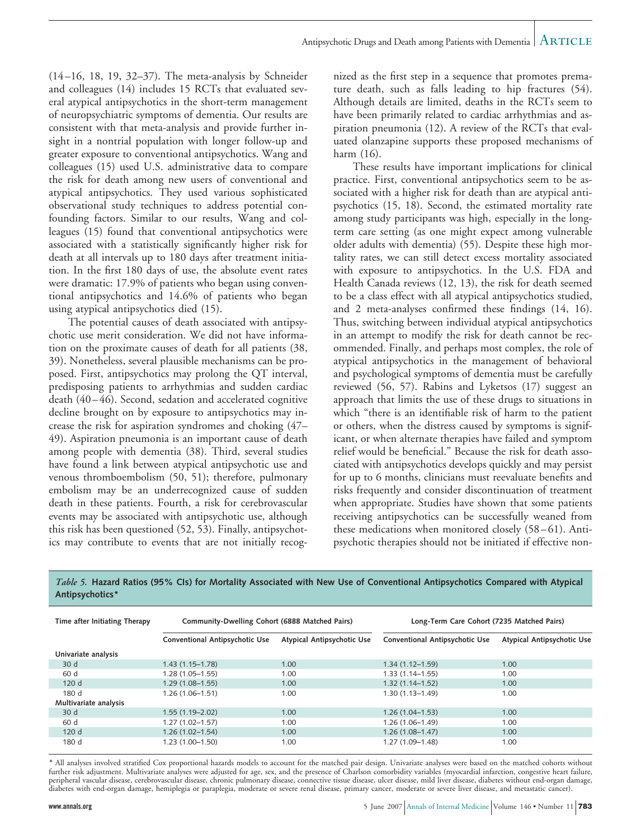(14 –16, 18, 19, 32–37). The meta-analysis by Schneider and colleagues (14) includes 15 RCTs that evaluated several atypical antipsychotics in the short-term management of neuropsychiatric symptoms of dementia. Our results are consistent with that meta-analysis and provide further insight in a nontrial population with longer follow-up and greater exposure to conventional antipsychotics. Wang and colleagues (15) used U.S. administrative data to compare the risk for death among new users of conventional and atypical antipsychotics. They used various sophisticated observational study techniques to address potential confounding factors. Similar to our results, Wang and colleagues (15) found that conventional antipsychotics were associated with a statistically significantly higher risk for death at all intervals up to 180 days after treatment initiation. In the first 180 days of use, the absolute event rates were dramatic: 17.9% of patients who began using conventional antipsychotics and 14.6% of patients who began using atypical antipsychotics died (15).

The potential causes of death associated with antipsychotic use merit consideration. We did not have information on the proximate causes of death for all patients (38, 39). Nonetheless, several plausible mechanisms can be proposed. First, antipsychotics may prolong the QT interval, predisposing patients to arrhythmias and sudden cardiac death (40 – 46). Second, sedation and accelerated cognitive decline brought on by exposure to antipsychotics may increase the risk for aspiration syndromes and choking (47– 49). Aspiration pneumonia is an important cause of death among people with dementia (38). Third, several studies have found a link between atypical antipsychotic use and venous thromboembolism (50, 51); therefore, pulmonary embolism may be an underrecognized cause of sudden death in these patients. Fourth, a risk for cerebrovascular events may be associated with antipsychotic use, although this risk has been questioned (52, 53). Finally, antipsychotics may contribute to events that are not initially recognized as the first step in a sequence that promotes premature death, such as falls leading to hip fractures (54). Although details are limited, deaths in the RCTs seem to have been primarily related to cardiac arrhythmias and aspiration pneumonia (12). A review of the RCTs that evaluated olanzapine supports these proposed mechanisms of harm (16).

These results have important implications for clinical practice. First, conventional antipsychotics seem to be associated with a higher risk for death than are atypical antipsychotics (15, 18). Second, the estimated mortality rate among study participants was high, especially in the longterm care setting (as one might expect among vulnerable older adults with dementia) (55). Despite these high mortality rates, we can still detect excess mortality associated with exposure to antipsychotics. In the U.S. FDA and Health Canada reviews (12, 13), the risk for death seemed to be a class effect with all atypical antipsychotics studied, and 2 meta-analyses confirmed these findings (14, 16). Thus, switching between individual atypical antipsychotics in an attempt to modify the risk for death cannot be recommended. Finally, and perhaps most complex, the role of atypical antipsychotics in the management of behavioral and psychological symptoms of dementia must be carefully reviewed (56, 57). Rabins and Lyketsos (17) suggest an approach that limits the use of these drugs to situations in which "there is an identifiable risk of harm to the patient or others, when the distress caused by symptoms is significant, or when alternate therapies have failed and symptom relief would be beneficial." Because the risk for death associated with antipsychotics develops quickly and may persist for up to 6 months, clinicians must reevaluate benefits and risks frequently and consider discontinuation of treatment when appropriate. Studies have shown that some patients receiving antipsychotics can be successfully weaned from these medications when monitored closely (58-61). Antipsychotic therapies should not be initiated if effective non-

| Time after Initiating Therapy | Community-Dwelling Cohort (6888 Matched Pairs) |                            | Long-Term Care Cohort (7235 Matched Pairs) |                            |
|-------------------------------|------------------------------------------------|----------------------------|--------------------------------------------|----------------------------|
|                               | Conventional Antipsychotic Use                 | Atypical Antipsychotic Use | Conventional Antipsychotic Use             | Atypical Antipsychotic Use |
| Univariate analysis           |                                                |                            |                                            |                            |
| 30 d                          | $1.43(1.15 - 1.78)$                            | 1.00                       | $1.34(1.12 - 1.59)$                        | 1.00                       |
| 60 d                          | $1.28(1.05 - 1.55)$                            | 1.00                       | $1.33(1.14 - 1.55)$                        | 1.00                       |
| 120 d                         | $1.29(1.08 - 1.55)$                            | 1.00                       | $1.32(1.14 - 1.52)$                        | 1.00                       |
| 180 d                         | $1.26(1.06 - 1.51)$                            | 1.00                       | $1.30(1.13 - 1.49)$                        | 1.00                       |
| Multivariate analysis         |                                                |                            |                                            |                            |
| 30 d                          | $1.55(1.19 - 2.02)$                            | 1.00                       | $1.26(1.04-1.53)$                          | 1.00                       |
| 60 d                          | $1.27(1.02 - 1.57)$                            | 1.00                       | $1.26(1.06 - 1.49)$                        | 1.00                       |
| 120d                          | $1.26(1.02 - 1.54)$                            | 1.00                       | $1.26(1.08 - 1.47)$                        | 1.00                       |
| 180 d                         | $1.23(1.00-1.50)$                              | 1.00                       | $1.27(1.09 - 1.48)$                        | 1.00                       |

*Table 5.* **Hazard Ratios (95% CIs) for Mortality Associated with New Use of Conventional Antipsychotics Compared with Atypical Antipsychotics\***

\* All analyses involved stratified Cox proportional hazards models to account for the matched pair design. Univariate analyses were based on the matched cohorts without further risk adjustment. Multivariate analyses were adjusted for age, sex, and the presence of Charlson comorbidity variables (myocardial infarction, congestive heart failure, peripheral vascular disease, cerebrovascular disease, chronic pulmonary disease, connective tissue disease, ulcer disease, mild liver disease, diabetes without end-organ damage, diabetes with end-organ damage, hemiplegia or paraplegia, moderate or severe renal disease, primary cancer, moderate or severe liver disease, and metastatic cancer).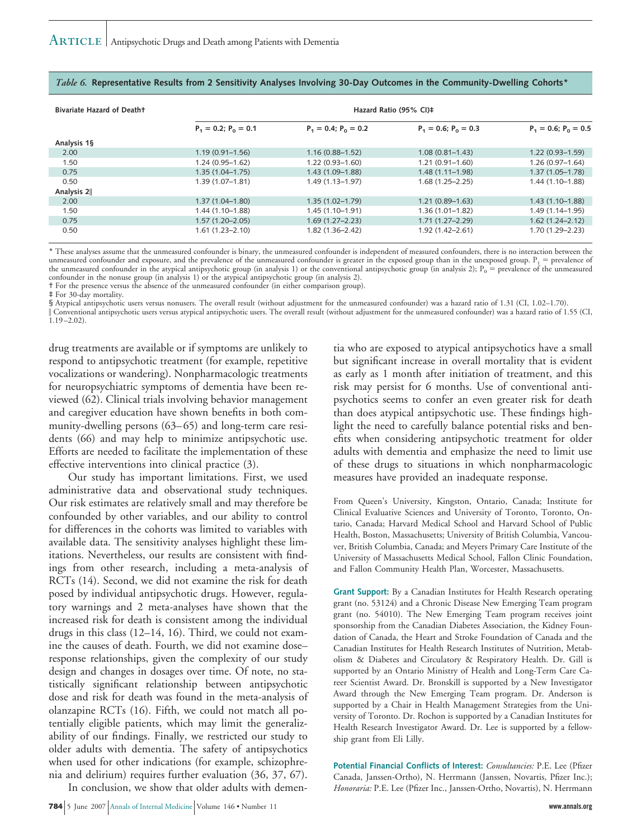### *Table 6.* **Representative Results from 2 Sensitivity Analyses Involving 30-Day Outcomes in the Community-Dwelling Cohorts\***

| Bivariate Hazard of Deatht | Hazard Ratio (95% CI)# |                        |                        |                        |  |
|----------------------------|------------------------|------------------------|------------------------|------------------------|--|
|                            | $P_1 = 0.2; P_0 = 0.1$ | $P_1 = 0.4; P_0 = 0.2$ | $P_1 = 0.6; P_0 = 0.3$ | $P_1 = 0.6; P_0 = 0.5$ |  |
| Analysis 1§                |                        |                        |                        |                        |  |
| 2.00                       | $1.19(0.91 - 1.56)$    | $1.16(0.88 - 1.52)$    | $1.08(0.81 - 1.43)$    | $1.22(0.93 - 1.59)$    |  |
| 1.50                       | $1.24(0.95 - 1.62)$    | $1.22(0.93 - 1.60)$    | $1.21(0.91 - 1.60)$    | $1.26(0.97-1.64)$      |  |
| 0.75                       | $1.35(1.04 - 1.75)$    | $1.43(1.09 - 1.88)$    | $1.48(1.11 - 1.98)$    | $1.37(1.05 - 1.78)$    |  |
| 0.50                       | $1.39(1.07 - 1.81)$    | $1.49(1.13 - 1.97)$    | $1.68(1.25 - 2.25)$    | $1.44(1.10-1.88)$      |  |
| Analysis 2                 |                        |                        |                        |                        |  |
| 2.00                       | $1.37(1.04 - 1.80)$    | $1.35(1.02 - 1.79)$    | $1.21(0.89 - 1.63)$    | $1.43(1.10-1.88)$      |  |
| 1.50                       | $1.44(1.10-1.88)$      | 1.45 (1.10–1.91)       | $1.36(1.01-1.82)$      | $1.49(1.14 - 1.95)$    |  |
| 0.75                       | $1.57(1.20 - 2.05)$    | $1.69(1.27 - 2.23)$    | $1.71(1.27 - 2.29)$    | $1.62(1.24 - 2.12)$    |  |
| 0.50                       | $1.61(1.23 - 2.10)$    | $1.82(1.36 - 2.42)$    | $1.92(1.42 - 2.61)$    | $1.70(1.29 - 2.23)$    |  |

\* These analyses assume that the unmeasured confounder is binary, the unmeasured confounder is independent of measured confounders, there is no interaction between the unmeasured confounder and exposure, and the prevalence of the unmeasured confounder is greater in the exposed group than in the unexposed group.  $P_1$  = prevalence of the unmeasured confounder in the atypical antipsychotic group (in analysis 1) or the conventional antipsychotic group (in analysis 2);  $P_0$  = prevalence of the unmeasured confounder in the nonuse group (in analysis 1) or

† For the presence versus the absence of the unmeasured confounder (in either comparison group).

‡ For 30-day mortality.

§ Atypical antipsychotic users versus nonusers. The overall result (without adjustment for the unmeasured confounder) was a hazard ratio of 1.31 (CI, 1.02–1.70). - Conventional antipsychotic users versus atypical antipsychotic users. The overall result (without adjustment for the unmeasured confounder) was a hazard ratio of 1.55 (CI, 1.19 –2.02).

drug treatments are available or if symptoms are unlikely to respond to antipsychotic treatment (for example, repetitive vocalizations or wandering). Nonpharmacologic treatments for neuropsychiatric symptoms of dementia have been reviewed (62). Clinical trials involving behavior management and caregiver education have shown benefits in both community-dwelling persons (63–65) and long-term care residents (66) and may help to minimize antipsychotic use. Efforts are needed to facilitate the implementation of these effective interventions into clinical practice (3).

Our study has important limitations. First, we used administrative data and observational study techniques. Our risk estimates are relatively small and may therefore be confounded by other variables, and our ability to control for differences in the cohorts was limited to variables with available data. The sensitivity analyses highlight these limitations. Nevertheless, our results are consistent with findings from other research, including a meta-analysis of RCTs (14). Second, we did not examine the risk for death posed by individual antipsychotic drugs. However, regulatory warnings and 2 meta-analyses have shown that the increased risk for death is consistent among the individual drugs in this class (12–14, 16). Third, we could not examine the causes of death. Fourth, we did not examine dose– response relationships, given the complexity of our study design and changes in dosages over time. Of note, no statistically significant relationship between antipsychotic dose and risk for death was found in the meta-analysis of olanzapine RCTs (16). Fifth, we could not match all potentially eligible patients, which may limit the generalizability of our findings. Finally, we restricted our study to older adults with dementia. The safety of antipsychotics when used for other indications (for example, schizophrenia and delirium) requires further evaluation (36, 37, 67).

In conclusion, we show that older adults with demen-

but significant increase in overall mortality that is evident as early as 1 month after initiation of treatment, and this risk may persist for 6 months. Use of conventional antipsychotics seems to confer an even greater risk for death than does atypical antipsychotic use. These findings highlight the need to carefully balance potential risks and benefits when considering antipsychotic treatment for older adults with dementia and emphasize the need to limit use of these drugs to situations in which nonpharmacologic measures have provided an inadequate response.

tia who are exposed to atypical antipsychotics have a small

From Queen's University, Kingston, Ontario, Canada; Institute for Clinical Evaluative Sciences and University of Toronto, Toronto, Ontario, Canada; Harvard Medical School and Harvard School of Public Health, Boston, Massachusetts; University of British Columbia, Vancouver, British Columbia, Canada; and Meyers Primary Care Institute of the University of Massachusetts Medical School, Fallon Clinic Foundation, and Fallon Community Health Plan, Worcester, Massachusetts.

**Grant Support:** By a Canadian Institutes for Health Research operating grant (no. 53124) and a Chronic Disease New Emerging Team program grant (no. 54010). The New Emerging Team program receives joint sponsorship from the Canadian Diabetes Association, the Kidney Foundation of Canada, the Heart and Stroke Foundation of Canada and the Canadian Institutes for Health Research Institutes of Nutrition, Metabolism & Diabetes and Circulatory & Respiratory Health. Dr. Gill is supported by an Ontario Ministry of Health and Long-Term Care Career Scientist Award. Dr. Bronskill is supported by a New Investigator Award through the New Emerging Team program. Dr. Anderson is supported by a Chair in Health Management Strategies from the University of Toronto. Dr. Rochon is supported by a Canadian Institutes for Health Research Investigator Award. Dr. Lee is supported by a fellowship grant from Eli Lilly.

**Potential Financial Conflicts of Interest:** *Consultancies:* P.E. Lee (Pfizer Canada, Janssen-Ortho), N. Herrmann (Janssen, Novartis, Pfizer Inc.); *Honoraria:* P.E. Lee (Pfizer Inc., Janssen-Ortho, Novartis), N. Herrmann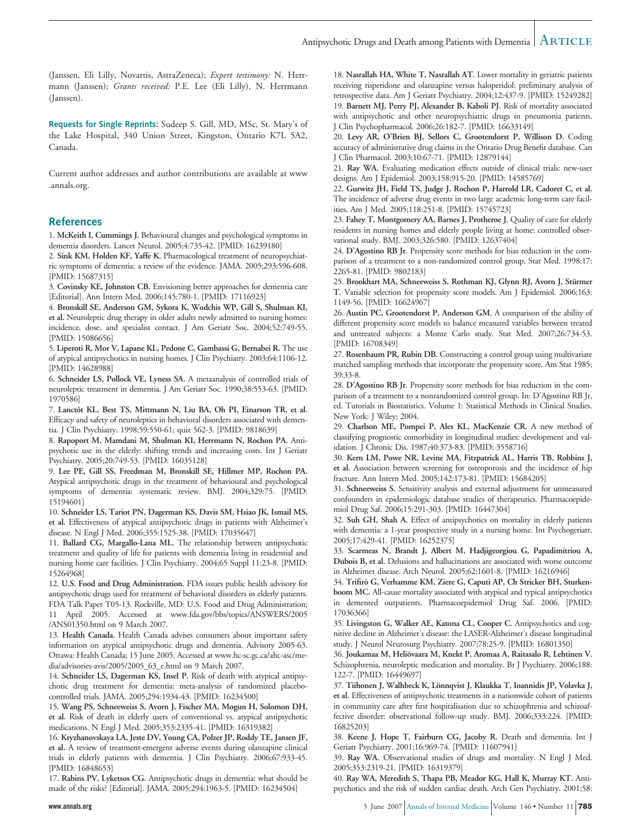(Janssen, Eli Lilly, Novartis, AstraZeneca); *Expert testimony:* N. Herrmann (Janssen); *Grants received:* P.E. Lee (Eli Lilly), N. Herrmann (Janssen).

**Requests for Single Reprints:** Sudeep S. Gill, MD, MSc, St. Mary's of the Lake Hospital, 340 Union Street, Kingston, Ontario K7L 5A2, Canada.

Current author addresses and author contributions are available at www .annals.org.

### **References**

1. **McKeith I, Cummings J.** Behavioural changes and psychological symptoms in dementia disorders. Lancet Neurol. 2005;4:735-42. [PMID: 16239180]

2. **Sink KM, Holden KF, Yaffe K.** Pharmacological treatment of neuropsychiatric symptoms of dementia: a review of the evidence. JAMA. 2005;293:596-608. [PMID: 15687315]

3. **Covinsky KE, Johnston CB.** Envisioning better approaches for dementia care [Editorial]. Ann Intern Med. 2006;145:780-1. [PMID: 17116923]

4. **Bronskill SE, Anderson GM, Sykora K, Wodchis WP, Gill S, Shulman KI, et al.** Neuroleptic drug therapy in older adults newly admitted to nursing homes: incidence, dose, and specialist contact. J Am Geriatr Soc. 2004;52:749-55. [PMID: 15086656]

5. **Liperoti R, Mor V, Lapane KL, Pedone C, Gambassi G, Bernabei R.** The use of atypical antipsychotics in nursing homes. J Clin Psychiatry. 2003;64:1106-12. [PMID: 14628988]

6. **Schneider LS, Pollock VE, Lyness SA.** A metaanalysis of controlled trials of neuroleptic treatment in dementia. J Am Geriatr Soc. 1990;38:553-63. [PMID: 1970586]

7. Lanctôt KL, Best TS, Mittmann N, Liu BA, Oh PI, Einarson TR, et al. Efficacy and safety of neuroleptics in behavioral disorders associated with dementia. J Clin Psychiatry. 1998;59:550-61; quiz 562-3. [PMID: 9818639]

8. **Rapoport M, Mamdani M, Shulman KI, Herrmann N, Rochon PA.** Antipsychotic use in the elderly: shifting trends and increasing costs. Int J Geriatr Psychiatry. 2005;20:749-53. [PMID: 16035128]

9. **Lee PE, Gill SS, Freedman M, Bronskill SE, Hillmer MP, Rochon PA.** Atypical antipsychotic drugs in the treatment of behavioural and psychological symptoms of dementia: systematic review. BMJ. 2004;329:75. [PMID: 15194601]

10. **Schneider LS, Tariot PN, Dagerman KS, Davis SM, Hsiao JK, Ismail MS, et al.** Effectiveness of atypical antipsychotic drugs in patients with Alzheimer's disease. N Engl J Med. 2006;355:1525-38. [PMID: 17035647]

11. **Ballard CG, Margallo-Lana ML.** The relationship between antipsychotic treatment and quality of life for patients with dementia living in residential and nursing home care facilities. J Clin Psychiatry. 2004;65 Suppl 11:23-8. [PMID: 15264968]

12. **U.S. Food and Drug Administration.** FDA issues public health advisory for antipsychotic drugs used for treatment of behavioral disorders in elderly patients. FDA Talk Paper T05-13. Rockville, MD: U.S. Food and Drug Administration; 11 April 2005. Accessed at www.fda.gov/bbs/topics/ANSWERS/2005 /ANS01350.html on 9 March 2007.

13. **Health Canada.** Health Canada advises consumers about important safety information on atypical antipsychotic drugs and dementia. Advisory 2005-63. Ottawa: Health Canada; 15 June 2005. Accessed at www.hc-sc.gc.ca/ahc-asc/media/advisories-avis/2005/2005\_63\_e.html on 9 March 2007.

14. **Schneider LS, Dagerman KS, Insel P.** Risk of death with atypical antipsychotic drug treatment for dementia: meta-analysis of randomized placebocontrolled trials. JAMA. 2005;294:1934-43. [PMID: 16234500]

15. **Wang PS, Schneeweiss S, Avorn J, Fischer MA, Mogun H, Solomon DH, et al.** Risk of death in elderly users of conventional vs. atypical antipsychotic medications. N Engl J Med. 2005;353:2335-41. [PMID: 16319382]

16. **Kryzhanovskaya LA, Jeste DV, Young CA, Polzer JP, Roddy TE, Jansen JF, et al.** A review of treatment-emergent adverse events during olanzapine clinical trials in elderly patients with dementia. J Clin Psychiatry. 2006;67:933-45. [PMID: 16848653]

17. **Rabins PV, Lyketsos CG.** Antipsychotic drugs in dementia: what should be made of the risks? [Editorial]. JAMA. 2005;294:1963-5. [PMID: 16234504]

18. **Nasrallah HA, White T, Nasrallah AT.** Lower mortality in geriatric patients receiving risperidone and olanzapine versus haloperidol: preliminary analysis of retrospective data. Am J Geriatr Psychiatry. 2004;12:437-9. [PMID: 15249282] 19. **Barnett MJ, Perry PJ, Alexander B, Kaboli PJ.** Risk of mortality associated with antipsychotic and other neuropsychiatric drugs in pneumonia patients. J Clin Psychopharmacol. 2006;26:182-7. [PMID: 16633149]

20. **Levy AR, O'Brien BJ, Sellors C, Grootendorst P, Willison D.** Coding accuracy of administrative drug claims in the Ontario Drug Benefit database. Can J Clin Pharmacol. 2003;10:67-71. [PMID: 12879144]

21. **Ray WA.** Evaluating medication effects outside of clinical trials: new-user designs. Am J Epidemiol. 2003;158:915-20. [PMID: 14585769]

22. **Gurwitz JH, Field TS, Judge J, Rochon P, Harrold LR, Cadoret C, et al.** The incidence of adverse drug events in two large academic long-term care facilities. Am J Med. 2005;118:251-8. [PMID: 15745723]

23. **Fahey T, Montgomery AA, Barnes J, Protheroe J.** Quality of care for elderly residents in nursing homes and elderly people living at home: controlled observational study. BMJ. 2003;326:580. [PMID: 12637404]

24. **D'Agostino RB Jr.** Propensity score methods for bias reduction in the comparison of a treatment to a non-randomized control group. Stat Med. 1998;17: 2265-81. [PMID: 9802183]

25. Brookhart MA, Schneeweiss S, Rothman KJ, Glynn RJ, Avorn J, Stürmer **T.** Variable selection for propensity score models. Am J Epidemiol. 2006;163: 1149-56. [PMID: 16624967]

26. **Austin PC, Grootendorst P, Anderson GM.** A comparison of the ability of different propensity score models to balance measured variables between treated and untreated subjects: a Monte Carlo study. Stat Med. 2007;26:734-53. [PMID: 16708349]

27. **Rosenbaum PR, Rubin DB.** Constructing a control group using multivariate matched sampling methods that incorporate the propensity score. Am Stat 1985; 39:33-8.

28. **D'Agostino RB Jr.** Propensity score methods for bias reduction in the comparison of a treatment to a nonrandomized control group. In: D'Agostino RB Jr, ed. Tutorials in Biostatistics. Volume 1: Statistical Methods in Clinical Studies. New York: J Wiley; 2004.

29. **Charlson ME, Pompei P, Ales KL, MacKenzie CR.** A new method of classifying prognostic comorbidity in longitudinal studies: development and validation. J Chronic Dis. 1987;40:373-83. [PMID: 3558716]

30. **Kern LM, Powe NR, Levine MA, Fitzpatrick AL, Harris TB, Robbins J, et al.** Association between screening for osteoporosis and the incidence of hip fracture. Ann Intern Med. 2005;142:173-81. [PMID: 15684205]

31. **Schneeweiss S.** Sensitivity analysis and external adjustment for unmeasured confounders in epidemiologic database studies of therapeutics. Pharmacoepidemiol Drug Saf. 2006;15:291-303. [PMID: 16447304]

32. **Suh GH, Shah A.** Effect of antipsychotics on mortality in elderly patients with dementia: a 1-year prospective study in a nursing home. Int Psychogeriatr. 2005;17:429-41. [PMID: 16252375]

33. **Scarmeas N, Brandt J, Albert M, Hadjigeorgiou G, Papadimitriou A, Dubois B, et al.** Delusions and hallucinations are associated with worse outcome in Alzheimer disease. Arch Neurol. 2005;62:1601-8. [PMID: 16216946]

34. **Trifiro` G, Verhamme KM, Ziere G, Caputi AP, Ch Stricker BH, Sturkenboom MC.** All-cause mortality associated with atypical and typical antipsychotics in demented outpatients. Pharmacoepidemiol Drug Saf. 2006. [PMID: 17036366]

35. **Livingston G, Walker AE, Katona CL, Cooper C.** Antipsychotics and cognitive decline in Alzheimer's disease: the LASER-Alzheimer's disease longitudinal study. J Neurol Neurosurg Psychiatry. 2007;78:25-9. [PMID: 16801350]

36. Joukamaa M, Heliövaara M, Knekt P, Aromaa A, Raitasalo R, Lehtinen V. Schizophrenia, neuroleptic medication and mortality. Br J Psychiatry. 2006;188: 122-7. [PMID: 16449697]

37. **Tiihonen J, Walhbeck K, Lo¨nnqvist J, Klaukka T, Ioannidis JP, Volavka J, et al.** Effectiveness of antipsychotic treatments in a nationwide cohort of patients in community care after first hospitalisation due to schizophrenia and schizoaffective disorder: observational follow-up study. BMJ. 2006;333:224. [PMID: 16825203]

38. **Keene J, Hope T, Fairburn CG, Jacoby R.** Death and dementia. Int J Geriatr Psychiatry. 2001;16:969-74. [PMID: 11607941]

39. **Ray WA.** Observational studies of drugs and mortality. N Engl J Med. 2005;353:2319-21. [PMID: 16319379]

40. **Ray WA, Meredith S, Thapa PB, Meador KG, Hall K, Murray KT.** Antipsychotics and the risk of sudden cardiac death. Arch Gen Psychiatry. 2001;58: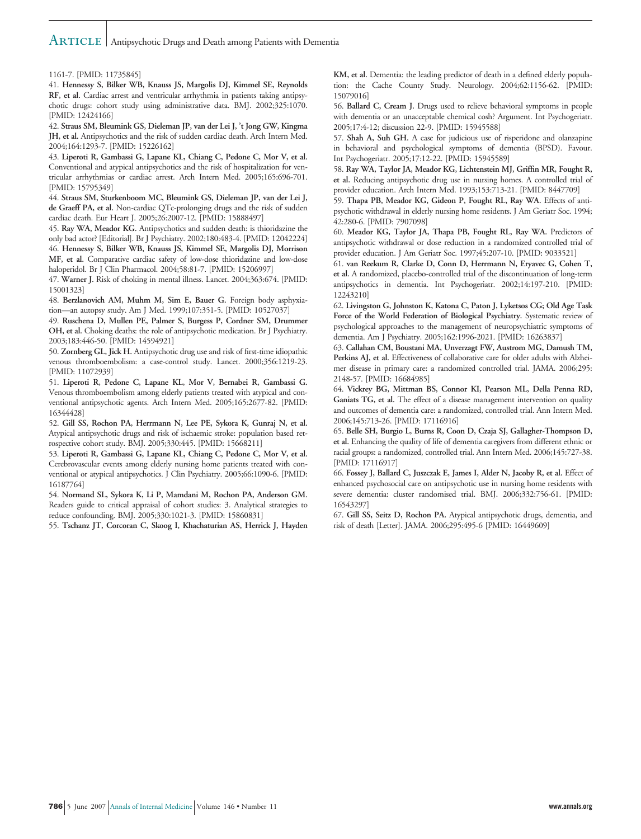### $\mathrm{ARTICLE} \mid$  Antipsychotic Drugs and Death among Patients with Dementia

1161-7. [PMID: 11735845]

41. **Hennessy S, Bilker WB, Knauss JS, Margolis DJ, Kimmel SE, Reynolds RF, et al.** Cardiac arrest and ventricular arrhythmia in patients taking antipsychotic drugs: cohort study using administrative data. BMJ. 2002;325:1070. [PMID: 12424166]

42. **Straus SM, Bleumink GS, Dieleman JP, van der Lei J, 't Jong GW, Kingma JH, et al.** Antipsychotics and the risk of sudden cardiac death. Arch Intern Med. 2004;164:1293-7. [PMID: 15226162]

43. **Liperoti R, Gambassi G, Lapane KL, Chiang C, Pedone C, Mor V, et al.** Conventional and atypical antipsychotics and the risk of hospitalization for ventricular arrhythmias or cardiac arrest. Arch Intern Med. 2005;165:696-701. [PMID: 15795349]

44. **Straus SM, Sturkenboom MC, Bleumink GS, Dieleman JP, van der Lei J, de Graeff PA, et al.** Non-cardiac QTc-prolonging drugs and the risk of sudden cardiac death. Eur Heart J. 2005;26:2007-12. [PMID: 15888497]

45. **Ray WA, Meador KG.** Antipsychotics and sudden death: is thioridazine the only bad actor? [Editorial]. Br J Psychiatry. 2002;180:483-4. [PMID: 12042224] 46. **Hennessy S, Bilker WB, Knauss JS, Kimmel SE, Margolis DJ, Morrison MF, et al.** Comparative cardiac safety of low-dose thioridazine and low-dose haloperidol. Br J Clin Pharmacol. 2004;58:81-7. [PMID: 15206997]

47. **Warner J.** Risk of choking in mental illness. Lancet. 2004;363:674. [PMID: 15001323]

48. **Berzlanovich AM, Muhm M, Sim E, Bauer G.** Foreign body asphyxiation—an autopsy study. Am J Med. 1999;107:351-5. [PMID: 10527037]

49. **Ruschena D, Mullen PE, Palmer S, Burgess P, Cordner SM, Drummer OH, et al.** Choking deaths: the role of antipsychotic medication. Br J Psychiatry. 2003;183:446-50. [PMID: 14594921]

50. **Zornberg GL, Jick H.** Antipsychotic drug use and risk of first-time idiopathic venous thromboembolism: a case-control study. Lancet. 2000;356:1219-23. [PMID: 11072939]

51. **Liperoti R, Pedone C, Lapane KL, Mor V, Bernabei R, Gambassi G.** Venous thromboembolism among elderly patients treated with atypical and conventional antipsychotic agents. Arch Intern Med. 2005;165:2677-82. [PMID: 16344428]

52. **Gill SS, Rochon PA, Herrmann N, Lee PE, Sykora K, Gunraj N, et al.** Atypical antipsychotic drugs and risk of ischaemic stroke: population based retrospective cohort study. BMJ. 2005;330:445. [PMID: 15668211]

53. **Liperoti R, Gambassi G, Lapane KL, Chiang C, Pedone C, Mor V, et al.** Cerebrovascular events among elderly nursing home patients treated with conventional or atypical antipsychotics. J Clin Psychiatry. 2005;66:1090-6. [PMID: 16187764]

54. **Normand SL, Sykora K, Li P, Mamdani M, Rochon PA, Anderson GM.** Readers guide to critical appraisal of cohort studies: 3. Analytical strategies to reduce confounding. BMJ. 2005;330:1021-3. [PMID: 15860831]

55. **Tschanz JT, Corcoran C, Skoog I, Khachaturian AS, Herrick J, Hayden**

**KM, et al.** Dementia: the leading predictor of death in a defined elderly population: the Cache County Study. Neurology. 2004;62:1156-62. [PMID: 15079016]

56. **Ballard C, Cream J.** Drugs used to relieve behavioral symptoms in people with dementia or an unacceptable chemical cosh? Argument. Int Psychogeriatr. 2005;17:4-12; discussion 22-9. [PMID: 15945588]

57. **Shah A, Suh GH.** A case for judicious use of risperidone and olanzapine in behavioral and psychological symptoms of dementia (BPSD). Favour. Int Psychogeriatr. 2005;17:12-22. [PMID: 15945589]

58. **Ray WA, Taylor JA, Meador KG, Lichtenstein MJ, Griffin MR, Fought R, et al.** Reducing antipsychotic drug use in nursing homes. A controlled trial of provider education. Arch Intern Med. 1993;153:713-21. [PMID: 8447709]

59. **Thapa PB, Meador KG, Gideon P, Fought RL, Ray WA.** Effects of antipsychotic withdrawal in elderly nursing home residents. J Am Geriatr Soc. 1994; 42:280-6. [PMID: 7907098]

60. **Meador KG, Taylor JA, Thapa PB, Fought RL, Ray WA.** Predictors of antipsychotic withdrawal or dose reduction in a randomized controlled trial of provider education. J Am Geriatr Soc. 1997;45:207-10. [PMID: 9033521]

61. **van Reekum R, Clarke D, Conn D, Herrmann N, Eryavec G, Cohen T, et al.** A randomized, placebo-controlled trial of the discontinuation of long-term antipsychotics in dementia. Int Psychogeriatr. 2002;14:197-210. [PMID: 12243210]

62. **Livingston G, Johnston K, Katona C, Paton J, Lyketsos CG; Old Age Task Force of the World Federation of Biological Psychiatry.** Systematic review of psychological approaches to the management of neuropsychiatric symptoms of dementia. Am J Psychiatry. 2005;162:1996-2021. [PMID: 16263837]

63. **Callahan CM, Boustani MA, Unverzagt FW, Austrom MG, Damush TM, Perkins AJ, et al.** Effectiveness of collaborative care for older adults with Alzheimer disease in primary care: a randomized controlled trial. JAMA. 2006;295: 2148-57. [PMID: 16684985]

64. **Vickrey BG, Mittman BS, Connor KI, Pearson ML, Della Penna RD, Ganiats TG, et al.** The effect of a disease management intervention on quality and outcomes of dementia care: a randomized, controlled trial. Ann Intern Med. 2006;145:713-26. [PMID: 17116916]

65. **Belle SH, Burgio L, Burns R, Coon D, Czaja SJ, Gallagher-Thompson D, et al.** Enhancing the quality of life of dementia caregivers from different ethnic or racial groups: a randomized, controlled trial. Ann Intern Med. 2006;145:727-38. [PMID: 17116917]

66. **Fossey J, Ballard C, Juszczak E, James I, Alder N, Jacoby R, et al.** Effect of enhanced psychosocial care on antipsychotic use in nursing home residents with severe dementia: cluster randomised trial. BMJ. 2006;332:756-61. [PMID: 16543297]

67. **Gill SS, Seitz D, Rochon PA.** Atypical antipsychotic drugs, dementia, and risk of death [Letter]. JAMA. 2006;295:495-6 [PMID: 16449609]